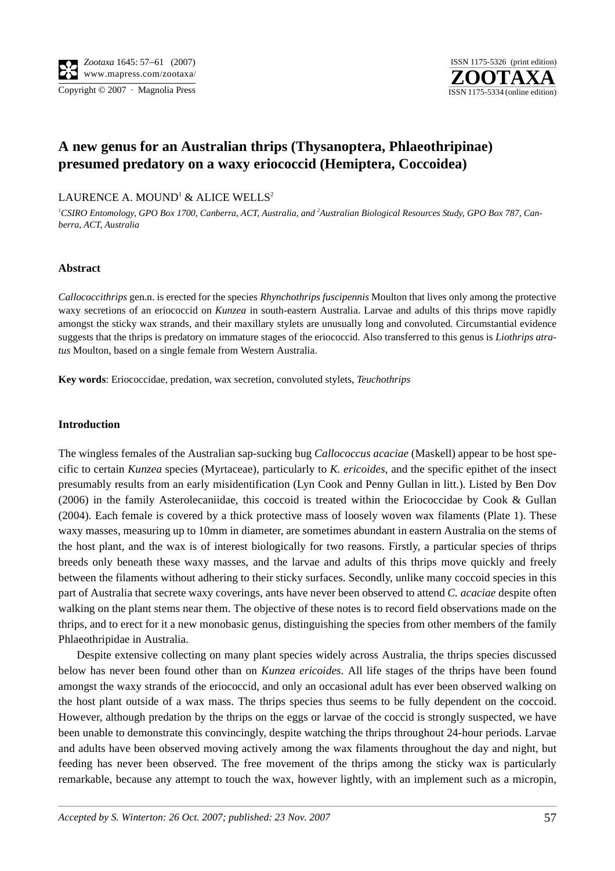

# **A new genus for an Australian thrips (Thysanoptera, Phlaeothripinae) presumed predatory on a waxy eriococcid (Hemiptera, Coccoidea)**

## LAURENCE A. MOUND<sup>1</sup> & ALICE WELLS<sup>2</sup>

<sup>1</sup>CSIRO Entomology, GPO Box 1700, Canberra, ACT, Australia, and <sup>2</sup>Australian Biological Resources Study, GPO Box 787, Can*berra, ACT, Australia*

## **Abstract**

*Callococcithrips* gen.n. is erected for the species *Rhynchothrips fuscipennis* Moulton that lives only among the protective waxy secretions of an eriococcid on *Kunzea* in south-eastern Australia. Larvae and adults of this thrips move rapidly amongst the sticky wax strands, and their maxillary stylets are unusually long and convoluted. Circumstantial evidence suggests that the thrips is predatory on immature stages of the eriococcid. Also transferred to this genus is *Liothrips atratus* Moulton, based on a single female from Western Australia.

**Key words**: Eriococcidae, predation, wax secretion, convoluted stylets, *Teuchothrips*

## **Introduction**

The wingless females of the Australian sap-sucking bug *Callococcus acaciae* (Maskell) appear to be host specific to certain *Kunzea* species (Myrtaceae), particularly to *K. ericoides*, and the specific epithet of the insect presumably results from an early misidentification (Lyn Cook and Penny Gullan in litt.). Listed by Ben Dov (2006) in the family Asterolecaniidae, this coccoid is treated within the Eriococcidae by Cook & Gullan (2004). Each female is covered by a thick protective mass of loosely woven wax filaments (Plate 1). These waxy masses, measuring up to 10mm in diameter, are sometimes abundant in eastern Australia on the stems of the host plant, and the wax is of interest biologically for two reasons. Firstly, a particular species of thrips breeds only beneath these waxy masses, and the larvae and adults of this thrips move quickly and freely between the filaments without adhering to their sticky surfaces. Secondly, unlike many coccoid species in this part of Australia that secrete waxy coverings, ants have never been observed to attend *C. acaciae* despite often walking on the plant stems near them. The objective of these notes is to record field observations made on the thrips, and to erect for it a new monobasic genus, distinguishing the species from other members of the family Phlaeothripidae in Australia.

Despite extensive collecting on many plant species widely across Australia, the thrips species discussed below has never been found other than on *Kunzea ericoides*. All life stages of the thrips have been found amongst the waxy strands of the eriococcid, and only an occasional adult has ever been observed walking on the host plant outside of a wax mass. The thrips species thus seems to be fully dependent on the coccoid. However, although predation by the thrips on the eggs or larvae of the coccid is strongly suspected, we have been unable to demonstrate this convincingly, despite watching the thrips throughout 24-hour periods. Larvae and adults have been observed moving actively among the wax filaments throughout the day and night, but feeding has never been observed. The free movement of the thrips among the sticky wax is particularly remarkable, because any attempt to touch the wax, however lightly, with an implement such as a micropin,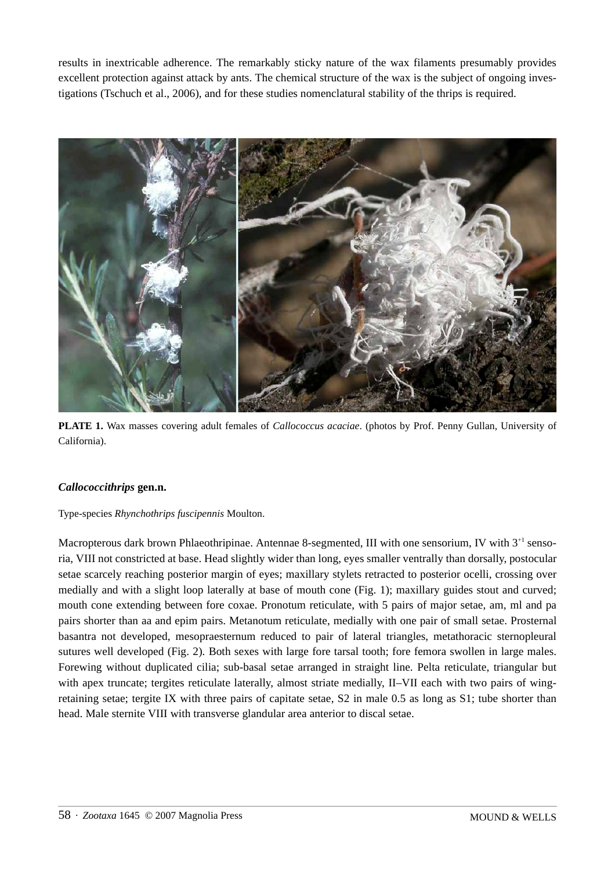results in inextricable adherence. The remarkably sticky nature of the wax filaments presumably provides excellent protection against attack by ants. The chemical structure of the wax is the subject of ongoing investigations (Tschuch et al., 2006), and for these studies nomenclatural stability of the thrips is required.



**PLATE 1.** Wax masses covering adult females of *Callococcus acaciae*. (photos by Prof. Penny Gullan, University of California).

## *Callococcithrips* **gen.n.**

## Type-species *Rhynchothrips fuscipennis* Moulton.

Macropterous dark brown Phlaeothripinae. Antennae 8-segmented, III with one sensorium, IV with 3<sup>+1</sup> sensoria, VIII not constricted at base. Head slightly wider than long, eyes smaller ventrally than dorsally, postocular setae scarcely reaching posterior margin of eyes; maxillary stylets retracted to posterior ocelli, crossing over medially and with a slight loop laterally at base of mouth cone (Fig. 1); maxillary guides stout and curved; mouth cone extending between fore coxae. Pronotum reticulate, with 5 pairs of major setae, am, ml and pa pairs shorter than aa and epim pairs. Metanotum reticulate, medially with one pair of small setae. Prosternal basantra not developed, mesopraesternum reduced to pair of lateral triangles, metathoracic sternopleural sutures well developed (Fig. 2). Both sexes with large fore tarsal tooth; fore femora swollen in large males. Forewing without duplicated cilia; sub-basal setae arranged in straight line. Pelta reticulate, triangular but with apex truncate; tergites reticulate laterally, almost striate medially, II–VII each with two pairs of wingretaining setae; tergite IX with three pairs of capitate setae, S2 in male 0.5 as long as S1; tube shorter than head. Male sternite VIII with transverse glandular area anterior to discal setae.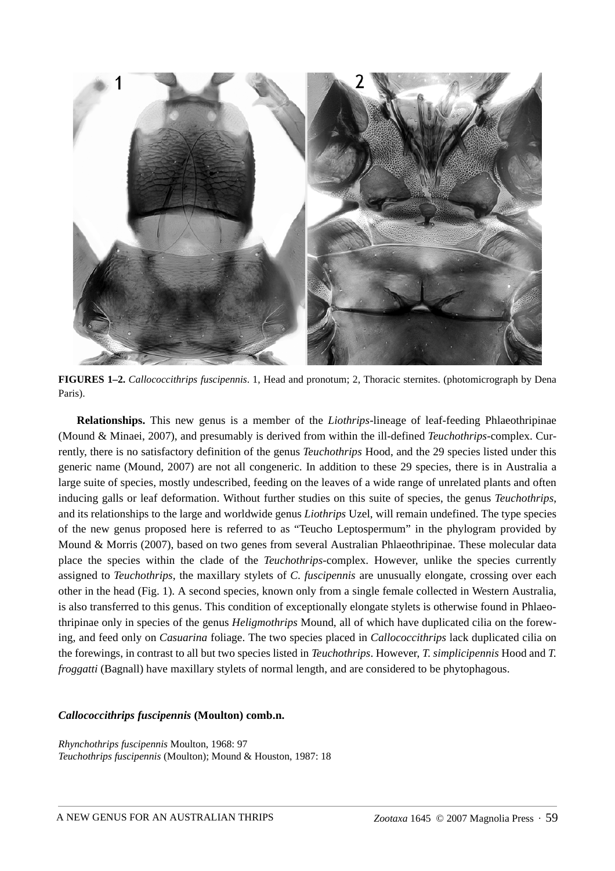

**FIGURES 1–2.** *Callococcithrips fuscipennis*. 1, Head and pronotum; 2, Thoracic sternites. (photomicrograph by Dena Paris).

**Relationships.** This new genus is a member of the *Liothrips*-lineage of leaf-feeding Phlaeothripinae (Mound & Minaei, 2007), and presumably is derived from within the ill-defined *Teuchothrips*-complex. Currently, there is no satisfactory definition of the genus *Teuchothrips* Hood, and the 29 species listed under this generic name (Mound, 2007) are not all congeneric. In addition to these 29 species, there is in Australia a large suite of species, mostly undescribed, feeding on the leaves of a wide range of unrelated plants and often inducing galls or leaf deformation. Without further studies on this suite of species, the genus *Teuchothrips*, and its relationships to the large and worldwide genus *Liothrips* Uzel, will remain undefined. The type species of the new genus proposed here is referred to as "Teucho Leptospermum" in the phylogram provided by Mound & Morris (2007), based on two genes from several Australian Phlaeothripinae. These molecular data place the species within the clade of the *Teuchothrips*-complex. However, unlike the species currently assigned to *Teuchothrips*, the maxillary stylets of *C. fuscipennis* are unusually elongate, crossing over each other in the head (Fig. 1). A second species, known only from a single female collected in Western Australia, is also transferred to this genus. This condition of exceptionally elongate stylets is otherwise found in Phlaeothripinae only in species of the genus *Heligmothrips* Mound, all of which have duplicated cilia on the forewing, and feed only on *Casuarina* foliage. The two species placed in *Callococcithrips* lack duplicated cilia on the forewings, in contrast to all but two species listed in *Teuchothrips*. However, *T. simplicipennis* Hood and *T. froggatti* (Bagnall) have maxillary stylets of normal length, and are considered to be phytophagous.

## *Callococcithrips fuscipennis* **(Moulton) comb.n.**

*Rhynchothrips fuscipennis* Moulton, 1968: 97 *Teuchothrips fuscipennis* (Moulton); Mound & Houston, 1987: 18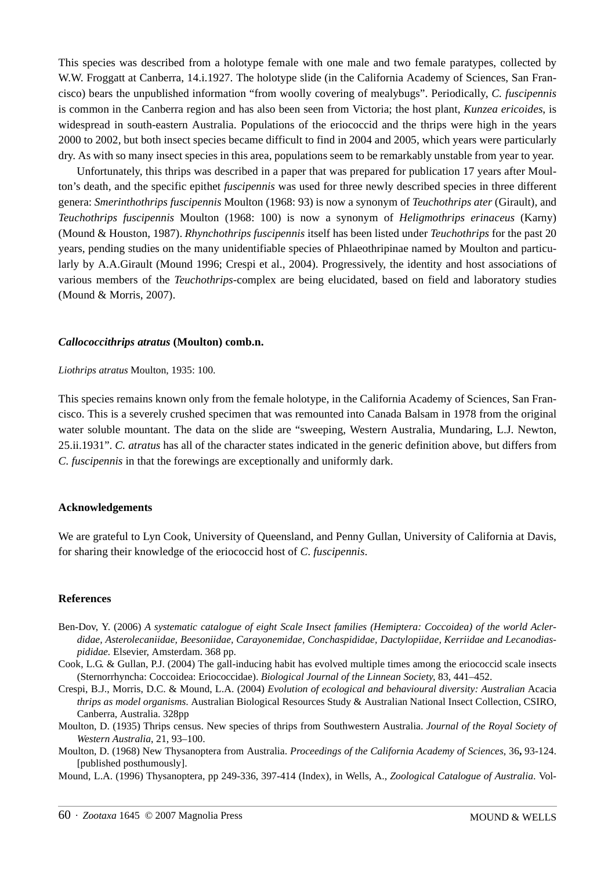This species was described from a holotype female with one male and two female paratypes, collected by W.W. Froggatt at Canberra, 14.*i.*1927. The holotype slide (in the California Academy of Sciences, San Francisco) bears the unpublished information "from woolly covering of mealybugs". Periodically, *C. fuscipennis* is common in the Canberra region and has also been seen from Victoria; the host plant, *Kunzea ericoides*, is widespread in south-eastern Australia. Populations of the eriococcid and the thrips were high in the years 2000 to 2002, but both insect species became difficult to find in 2004 and 2005, which years were particularly dry. As with so many insect species in this area, populations seem to be remarkably unstable from year to year.

Unfortunately, this thrips was described in a paper that was prepared for publication 17 years after Moulton's death, and the specific epithet *fuscipennis* was used for three newly described species in three different genera: *Smerinthothrips fuscipennis* Moulton (1968: 93) is now a synonym of *Teuchothrips ater* (Girault), and *Teuchothrips fuscipennis* Moulton (1968: 100) is now a synonym of *Heligmothrips erinaceus* (Karny) (Mound & Houston, 1987). *Rhynchothrips fuscipennis* itself has been listed under *Teuchothrips* for the past 20 years, pending studies on the many unidentifiable species of Phlaeothripinae named by Moulton and particularly by A.A.Girault (Mound 1996; Crespi et al., 2004). Progressively, the identity and host associations of various members of the *Teuchothrips*-complex are being elucidated, based on field and laboratory studies (Mound & Morris, 2007).

#### *Callococcithrips atratus* **(Moulton) comb.n.**

#### *Liothrips atratus* Moulton, 1935: 100.

This species remains known only from the female holotype, in the California Academy of Sciences, San Francisco. This is a severely crushed specimen that was remounted into Canada Balsam in 1978 from the original water soluble mountant. The data on the slide are "sweeping, Western Australia, Mundaring, L.J. Newton, 25.ii.1931". *C. atratus* has all of the character states indicated in the generic definition above, but differs from *C. fuscipennis* in that the forewings are exceptionally and uniformly dark.

#### **Acknowledgements**

We are grateful to Lyn Cook, University of Queensland, and Penny Gullan, University of California at Davis, for sharing their knowledge of the eriococcid host of *C. fuscipennis*.

#### **References**

- Ben-Dov, Y. (2006) *A systematic catalogue of eight Scale Insect families (Hemiptera: Coccoidea) of the world Aclerdidae, Asterolecaniidae, Beesoniidae, Carayonemidae, Conchaspididae, Dactylopiidae, Kerriidae and Lecanodiaspididae.* Elsevier, Amsterdam. 368 pp.
- Cook, L.G. & Gullan, P.J. (2004) The gall-inducing habit has evolved multiple times among the eriococcid scale insects (Sternorrhyncha: Coccoidea: Eriococcidae). *Biological Journal of the Linnean Society,* 83, 441–452.
- Crespi, B.J., Morris, D.C. & Mound, L.A. (2004) *Evolution of ecological and behavioural diversity: Australian* Acacia *thrips as model organisms*. Australian Biological Resources Study & Australian National Insect Collection, CSIRO, Canberra, Australia. 328pp
- Moulton, D. (1935) Thrips census. New species of thrips from Southwestern Australia. *Journal of the Royal Society of Western Australia*, 21, 93–100.
- Moulton, D. (1968) New Thysanoptera from Australia. *Proceedings of the California Academy of Sciences*, 36**,** 93-124. [published posthumously].

Mound, L.A. (1996) Thysanoptera, pp 249-336, 397-414 (Index), in Wells, A., *Zoological Catalogue of Australia*. Vol-